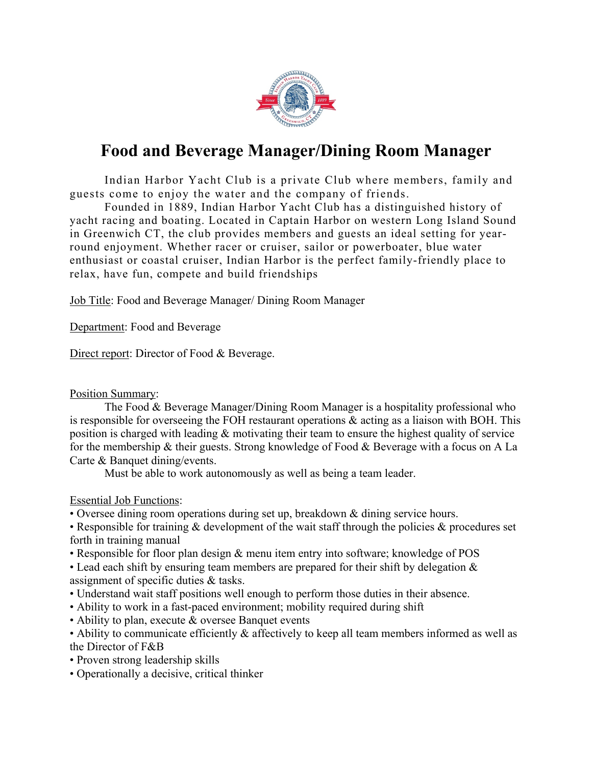

## **Food and Beverage Manager/Dining Room Manager**

Indian Harbor Yacht Club is a private Club where members, family and guests come to enjoy the water and the company of friends.

Founded in 1889, Indian Harbor Yacht Club has a distinguished history of yacht racing and boating. Located in Captain Harbor on western Long Island Sound in Greenwich CT, the club provides members and guests an ideal setting for yearround enjoyment. Whether racer or cruiser, sailor or powerboater, blue water enthusiast or coastal cruiser, Indian Harbor is the perfect family-friendly place to relax, have fun, compete and build friendships

Job Title: Food and Beverage Manager/ Dining Room Manager

Department: Food and Beverage

Direct report: Director of Food & Beverage.

## Position Summary:

The Food & Beverage Manager/Dining Room Manager is a hospitality professional who is responsible for overseeing the FOH restaurant operations & acting as a liaison with BOH. This position is charged with leading & motivating their team to ensure the highest quality of service for the membership & their guests. Strong knowledge of Food & Beverage with a focus on A La Carte & Banquet dining/events.

Must be able to work autonomously as well as being a team leader.

Essential Job Functions:

• Oversee dining room operations during set up, breakdown & dining service hours.

• Responsible for training  $\&$  development of the wait staff through the policies  $\&$  procedures set forth in training manual

• Responsible for floor plan design & menu item entry into software; knowledge of POS

• Lead each shift by ensuring team members are prepared for their shift by delegation  $\&$ assignment of specific duties & tasks.

- Understand wait staff positions well enough to perform those duties in their absence.
- Ability to work in a fast-paced environment; mobility required during shift
- Ability to plan, execute & oversee Banquet events
- Ability to communicate efficiently & affectively to keep all team members informed as well as the Director of F&B
- Proven strong leadership skills
- Operationally a decisive, critical thinker